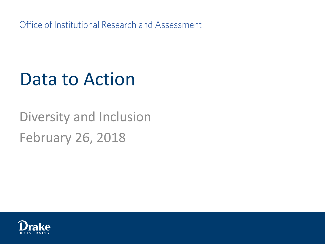Office of Institutional Research and Assessment

#### Data to Action

#### Diversity and Inclusion February 26, 2018

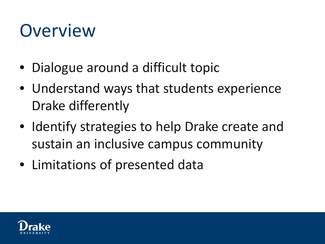#### Overview

- Dialogue around a difficult topic
- Understand ways that students experience Drake differently
- Identify strategies to help Drake create and sustain an inclusive campus community
- Limitations of presented data

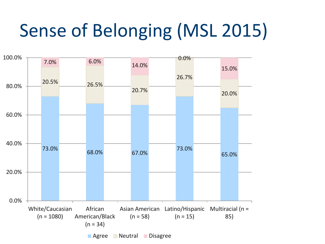# Sense of Belonging (MSL 2015)

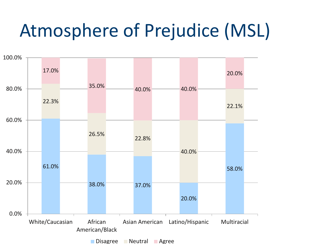#### Atmosphere of Prejudice (MSL)

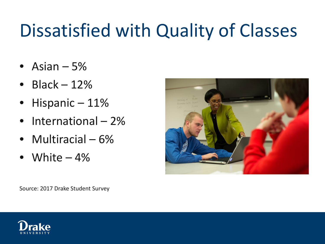# Dissatisfied with Quality of Classes

- Asian  $-5%$
- Black  $-12%$
- Hispanic 11%
- International 2%
- Multiracial 6%
- White  $-4\%$



Source: 2017 Drake Student Survey

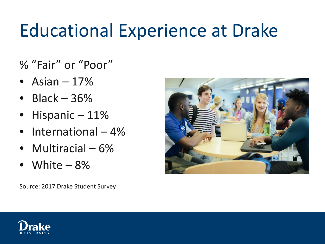## Educational Experience at Drake

% "Fair" or "Poor"

- Asian  $-17%$
- Black  $-36%$
- Hispanic 11%
- International 4%
- Multiracial 6%
- White  $-8%$

Source: 2017 Drake Student Survey



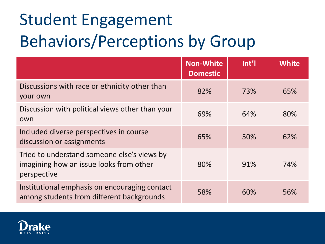# Student Engagement Behaviors/Perceptions by Group

|                                                                                                       | <b>Non-White</b><br><b>Domestic</b> | Int'l | <b>White</b> |
|-------------------------------------------------------------------------------------------------------|-------------------------------------|-------|--------------|
| Discussions with race or ethnicity other than<br>your own                                             | 82%                                 | 73%   | 65%          |
| Discussion with political views other than your<br>own                                                | 69%                                 | 64%   | 80%          |
| Included diverse perspectives in course<br>discussion or assignments                                  | 65%                                 | 50%   | 62%          |
| Tried to understand someone else's views by<br>imagining how an issue looks from other<br>perspective | 80%                                 | 91%   | 74%          |
| Institutional emphasis on encouraging contact<br>among students from different backgrounds            | 58%                                 | 60%   | 56%          |

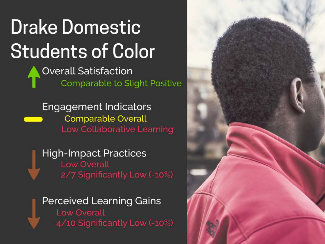# **Drake Domestic Students of Color**

**Overall Satisfaction Comparable to Slight Positive** 

**Engagement Indicators Comparable Overall Low Collaborative Learning** 

**High-Impact Practices Low Overall** 2/7 Significantly Low (-10%)

**Perceived Learning Gains Low Overall** 4/10 Significantly Low (-10%)